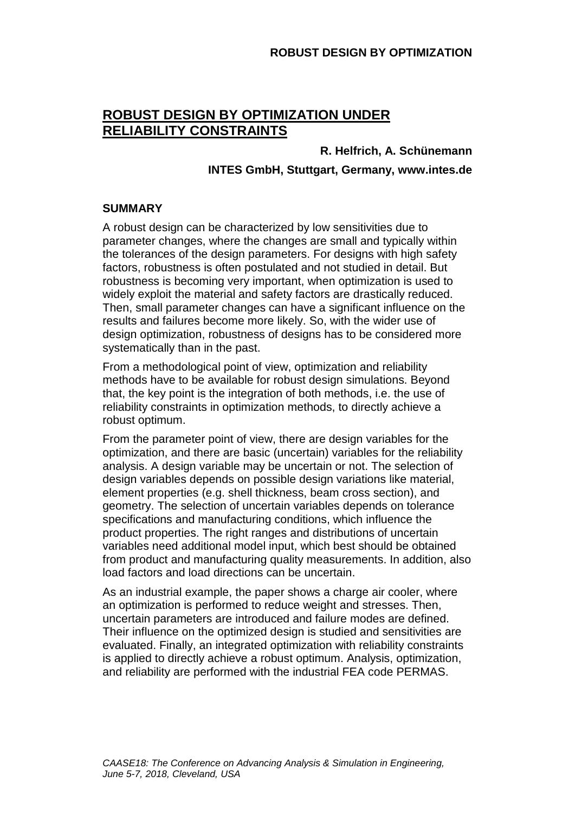# **ROBUST DESIGN BY OPTIMIZATION UNDER RELIABILITY CONSTRAINTS**

# **R. Helfrich, A. Schünemann INTES GmbH, Stuttgart, Germany, www.intes.de**

### **SUMMARY**

A robust design can be characterized by low sensitivities due to parameter changes, where the changes are small and typically within the tolerances of the design parameters. For designs with high safety factors, robustness is often postulated and not studied in detail. But robustness is becoming very important, when optimization is used to widely exploit the material and safety factors are drastically reduced. Then, small parameter changes can have a significant influence on the results and failures become more likely. So, with the wider use of design optimization, robustness of designs has to be considered more systematically than in the past.

From a methodological point of view, optimization and reliability methods have to be available for robust design simulations. Beyond that, the key point is the integration of both methods, i.e. the use of reliability constraints in optimization methods, to directly achieve a robust optimum.

From the parameter point of view, there are design variables for the optimization, and there are basic (uncertain) variables for the reliability analysis. A design variable may be uncertain or not. The selection of design variables depends on possible design variations like material, element properties (e.g. shell thickness, beam cross section), and geometry. The selection of uncertain variables depends on tolerance specifications and manufacturing conditions, which influence the product properties. The right ranges and distributions of uncertain variables need additional model input, which best should be obtained from product and manufacturing quality measurements. In addition, also load factors and load directions can be uncertain.

As an industrial example, the paper shows a charge air cooler, where an optimization is performed to reduce weight and stresses. Then, uncertain parameters are introduced and failure modes are defined. Their influence on the optimized design is studied and sensitivities are evaluated. Finally, an integrated optimization with reliability constraints is applied to directly achieve a robust optimum. Analysis, optimization, and reliability are performed with the industrial FEA code PERMAS.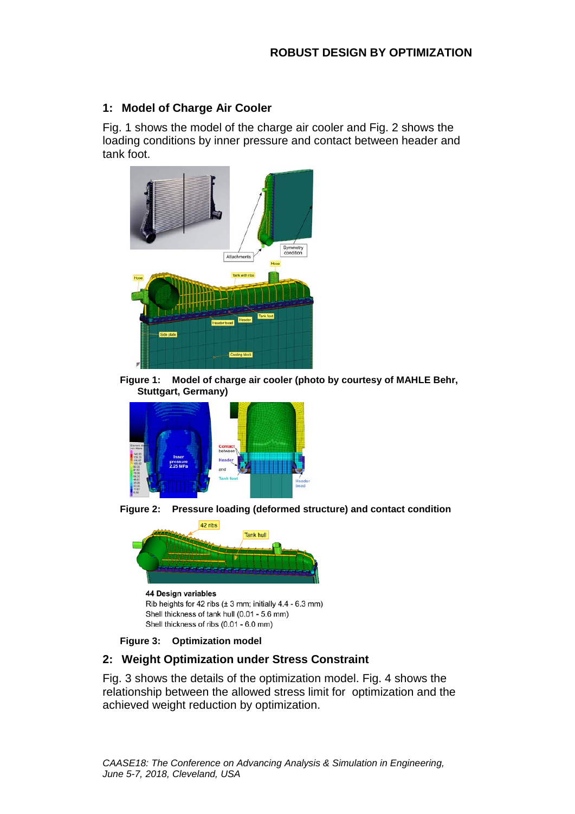## **1: Model of Charge Air Cooler**

Fig. 1 shows the model of the charge air cooler and Fig. 2 shows the loading conditions by inner pressure and contact between header and tank foot.



**Figure 1: Model of charge air cooler (photo by courtesy of MAHLE Behr, Stuttgart, Germany)**









## **2: Weight Optimization under Stress Constraint**

Fig. 3 shows the details of the optimization model. Fig. 4 shows the relationship between the allowed stress limit for optimization and the achieved weight reduction by optimization.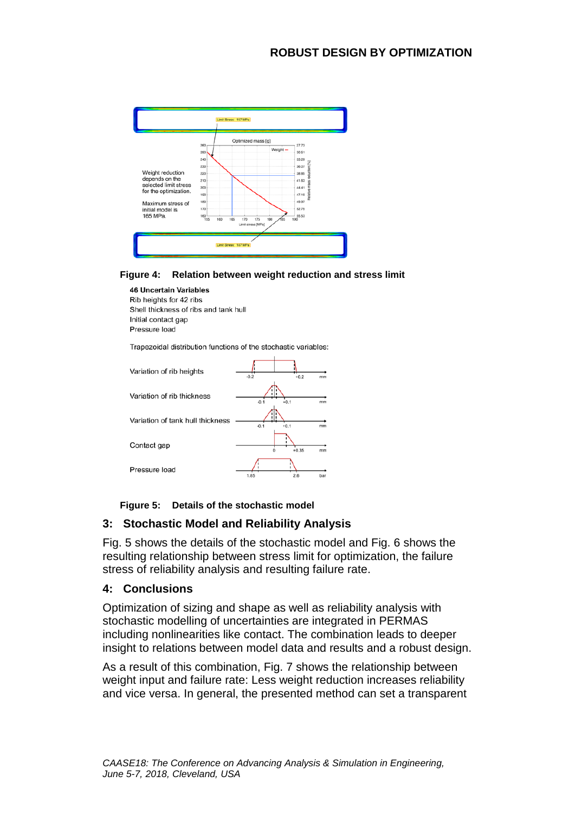

#### **Figure 4: Relation between weight reduction and stress limit**

#### **46 Uncertain Variables**

Rib heights for 42 ribs Shell thickness of ribs and tank hull Initial contact gap Pressure load

Trapezoidal distribution functions of the stochastic variables:

| Variation of rib heights         | $-0.2$<br>$+0.2$<br>mm |
|----------------------------------|------------------------|
| Variation of rib thickness       | $+0.1$<br>$-0.1$<br>mm |
| Variation of tank hull thickness | $-0.1$<br>$+0.1$<br>mm |
| Contact gap                      | $+0.35$<br>mm          |
| Pressure load                    | 9 R<br>1.95<br>har     |

#### **Figure 5: Details of the stochastic model**

### **3: Stochastic Model and Reliability Analysis**

Fig. 5 shows the details of the stochastic model and Fig. 6 shows the resulting relationship between stress limit for optimization, the failure stress of reliability analysis and resulting failure rate.

### **4: Conclusions**

Optimization of sizing and shape as well as reliability analysis with stochastic modelling of uncertainties are integrated in PERMAS including nonlinearities like contact. The combination leads to deeper insight to relations between model data and results and a robust design.

As a result of this combination, Fig. 7 shows the relationship between weight input and failure rate: Less weight reduction increases reliability and vice versa. In general, the presented method can set a transparent